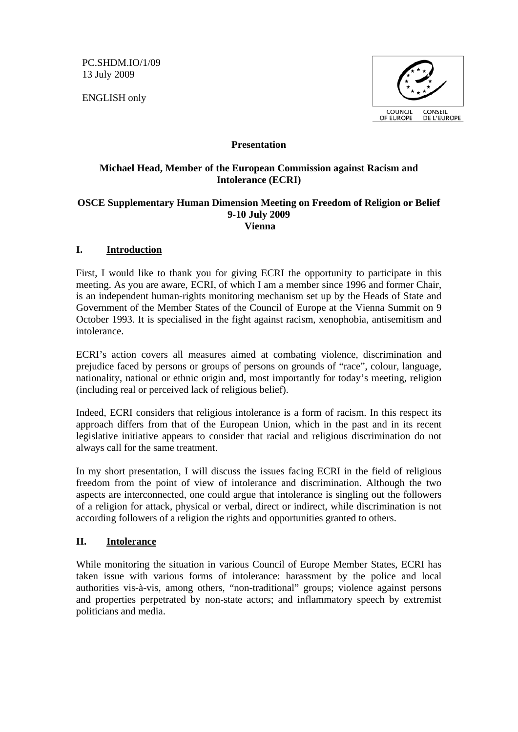PC.SHDM.IO/1/09 13 July 2009

ENGLISH only



#### **Presentation**

### **Michael Head, Member of the European Commission against Racism and Intolerance (ECRI)**

#### **OSCE Supplementary Human Dimension Meeting on Freedom of Religion or Belief 9-10 July 2009 Vienna**

### **I. Introduction**

First, I would like to thank you for giving ECRI the opportunity to participate in this meeting. As you are aware, ECRI, of which I am a member since 1996 and former Chair, is an independent human-rights monitoring mechanism set up by the Heads of State and Government of the Member States of the Council of Europe at the Vienna Summit on 9 October 1993. It is specialised in the fight against racism, xenophobia, antisemitism and intolerance.

ECRI's action covers all measures aimed at combating violence, discrimination and prejudice faced by persons or groups of persons on grounds of "race", colour, language, nationality, national or ethnic origin and, most importantly for today's meeting, religion (including real or perceived lack of religious belief).

Indeed, ECRI considers that religious intolerance is a form of racism. In this respect its approach differs from that of the European Union, which in the past and in its recent legislative initiative appears to consider that racial and religious discrimination do not always call for the same treatment.

In my short presentation, I will discuss the issues facing ECRI in the field of religious freedom from the point of view of intolerance and discrimination. Although the two aspects are interconnected, one could argue that intolerance is singling out the followers of a religion for attack, physical or verbal, direct or indirect, while discrimination is not according followers of a religion the rights and opportunities granted to others.

# **II. Intolerance**

While monitoring the situation in various Council of Europe Member States, ECRI has taken issue with various forms of intolerance: harassment by the police and local authorities vis-à-vis, among others, "non-traditional" groups; violence against persons and properties perpetrated by non-state actors; and inflammatory speech by extremist politicians and media.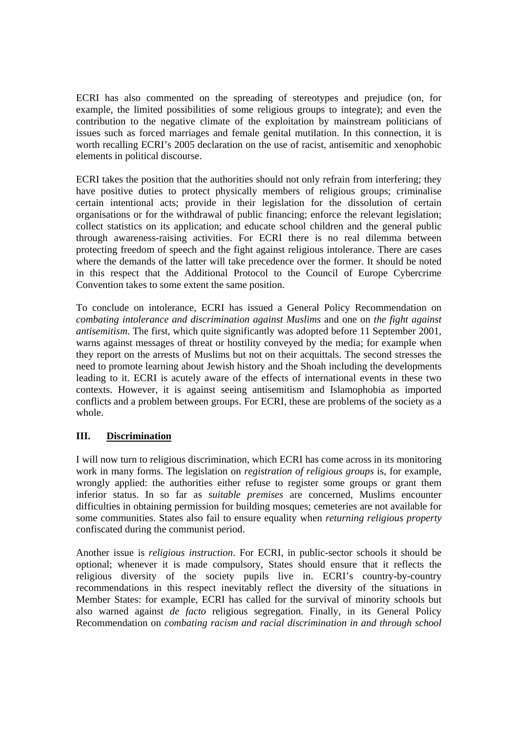ECRI has also commented on the spreading of stereotypes and prejudice (on, for example, the limited possibilities of some religious groups to integrate); and even the contribution to the negative climate of the exploitation by mainstream politicians of issues such as forced marriages and female genital mutilation. In this connection, it is worth recalling ECRI's 2005 declaration on the use of racist, antisemitic and xenophobic elements in political discourse.

ECRI takes the position that the authorities should not only refrain from interfering; they have positive duties to protect physically members of religious groups; criminalise certain intentional acts; provide in their legislation for the dissolution of certain organisations or for the withdrawal of public financing; enforce the relevant legislation; collect statistics on its application; and educate school children and the general public through awareness-raising activities. For ECRI there is no real dilemma between protecting freedom of speech and the fight against religious intolerance. There are cases where the demands of the latter will take precedence over the former. It should be noted in this respect that the Additional Protocol to the Council of Europe Cybercrime Convention takes to some extent the same position.

To conclude on intolerance, ECRI has issued a General Policy Recommendation on *combating intolerance and discrimination against Muslims* and one on *the fight against antisemitism*. The first, which quite significantly was adopted before 11 September 2001, warns against messages of threat or hostility conveyed by the media; for example when they report on the arrests of Muslims but not on their acquittals. The second stresses the need to promote learning about Jewish history and the Shoah including the developments leading to it. ECRI is acutely aware of the effects of international events in these two contexts. However, it is against seeing antisemitism and Islamophobia as imported conflicts and a problem between groups. For ECRI, these are problems of the society as a whole.

# **III. Discrimination**

I will now turn to religious discrimination, which ECRI has come across in its monitoring work in many forms. The legislation on *registration of religious groups* is, for example, wrongly applied: the authorities either refuse to register some groups or grant them inferior status. In so far as *suitable premises* are concerned, Muslims encounter difficulties in obtaining permission for building mosques; cemeteries are not available for some communities. States also fail to ensure equality when *returning religious property*  confiscated during the communist period.

Another issue is *religious instruction*. For ECRI, in public-sector schools it should be optional; whenever it is made compulsory, States should ensure that it reflects the religious diversity of the society pupils live in. ECRI's country-by-country recommendations in this respect inevitably reflect the diversity of the situations in Member States: for example, ECRI has called for the survival of minority schools but also warned against *de facto* religious segregation. Finally, in its General Policy Recommendation on *combating racism and racial discrimination in and through school*